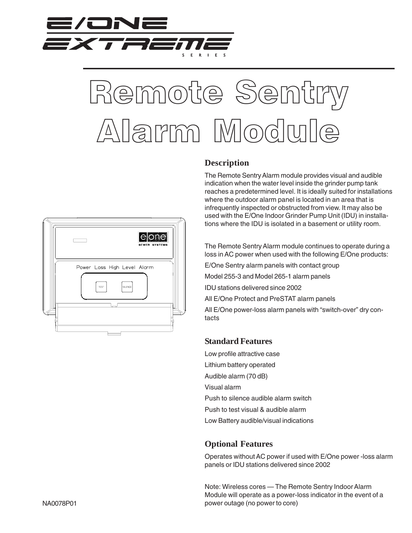



**Description**

The Remote Sentry Alarm module provides visual and audible indication when the water level inside the grinder pump tank reaches a predetermined level. It is ideally suited for installations where the outdoor alarm panel is located in an area that is infrequently inspected or obstructed from view. It may also be used with the E/One Indoor Grinder Pump Unit (IDU) in installations where the IDU is isolated in a basement or utility room.

The Remote Sentry Alarm module continues to operate during a loss in AC power when used with the following E/One products:

E/One Sentry alarm panels with contact group

Model 255-3 and Model 265-1 alarm panels

IDU stations delivered since 2002

All E/One Protect and PreSTAT alarm panels

All E/One power-loss alarm panels with "switch-over" dry contacts

## **Standard Features**

Low profile attractive case Lithium battery operated Audible alarm (70 dB) Visual alarm Push to silence audible alarm switch Push to test visual & audible alarm Low Battery audible/visual indications

## **Optional Features**

Operates without AC power if used with E/One power -loss alarm panels or IDU stations delivered since 2002

Note: Wireless cores — The Remote Sentry Indoor Alarm Module will operate as a power-loss indicator in the event of a power outage (no power to core)